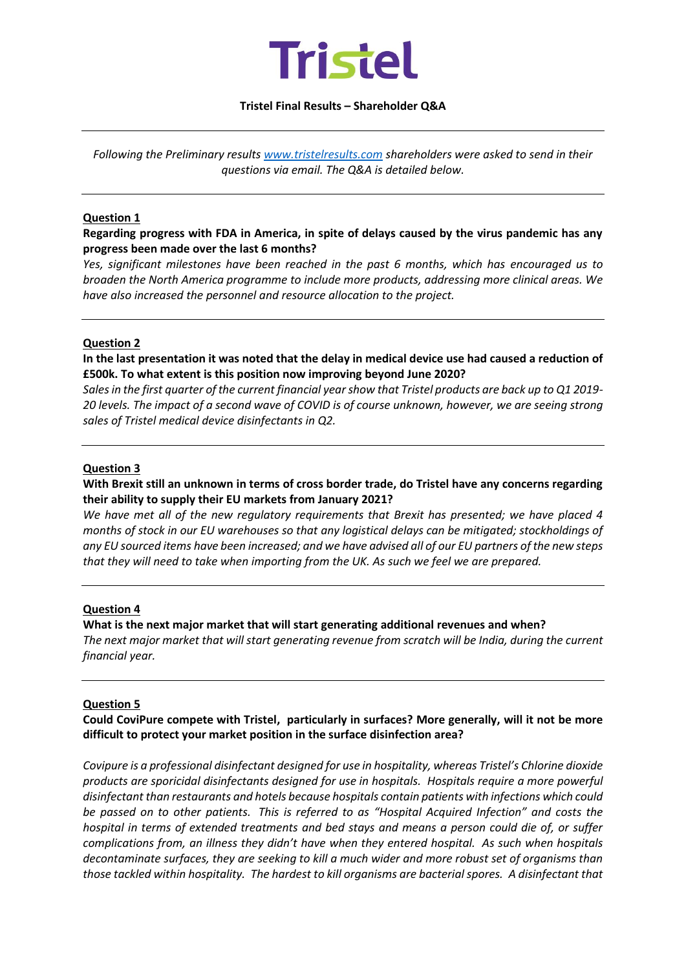

### **Tristel Final Results – Shareholder Q&A**

*Following the Preliminary results [www.tristelresults.com](http://www.tristelresults.com/) shareholders were asked to send in their questions via email. The Q&A is detailed below.*

#### **Question 1**

**Regarding progress with FDA in America, in spite of delays caused by the virus pandemic has any progress been made over the last 6 months?**

*Yes, significant milestones have been reached in the past 6 months, which has encouraged us to broaden the North America programme to include more products, addressing more clinical areas. We have also increased the personnel and resource allocation to the project.* 

#### **Question 2**

**In the last presentation it was noted that the delay in medical device use had caused a reduction of £500k. To what extent is this position now improving beyond June 2020?**

*Sales in the first quarter of the current financial year show that Tristel products are back up to Q1 2019- 20 levels. The impact of a second wave of COVID is of course unknown, however, we are seeing strong sales of Tristel medical device disinfectants in Q2.*

#### **Question 3**

# **With Brexit still an unknown in terms of cross border trade, do Tristel have any concerns regarding their ability to supply their EU markets from January 2021?**

*We have met all of the new regulatory requirements that Brexit has presented; we have placed 4 months of stock in our EU warehouses so that any logistical delays can be mitigated; stockholdings of any EU sourced items have been increased; and we have advised all of our EU partners of the new steps that they will need to take when importing from the UK. As such we feel we are prepared.* 

## **Question 4**

#### **What is the next major market that will start generating additional revenues and when?**

*The next major market that will start generating revenue from scratch will be India, during the current financial year.* 

#### **Question 5**

**Could CoviPure compete with Tristel, particularly in surfaces? More generally, will it not be more difficult to protect your market position in the surface disinfection area?**

*Covipure is a professional disinfectant designed for use in hospitality, whereas Tristel's Chlorine dioxide products are sporicidal disinfectants designed for use in hospitals. Hospitals require a more powerful disinfectant than restaurants and hotels because hospitals contain patients with infections which could be passed on to other patients. This is referred to as "Hospital Acquired Infection" and costs the hospital in terms of extended treatments and bed stays and means a person could die of, or suffer complications from, an illness they didn't have when they entered hospital. As such when hospitals decontaminate surfaces, they are seeking to kill a much wider and more robust set of organisms than those tackled within hospitality. The hardest to kill organisms are bacterial spores. A disinfectant that*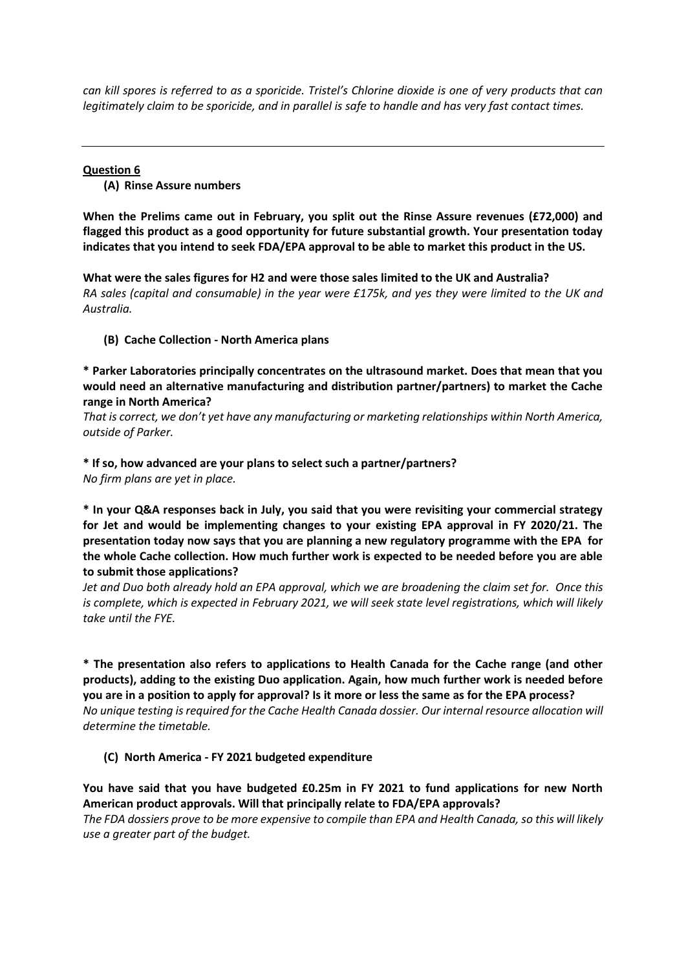*can kill spores is referred to as a sporicide. Tristel's Chlorine dioxide is one of very products that can legitimately claim to be sporicide, and in parallel is safe to handle and has very fast contact times.* 

# **Question 6 (A) Rinse Assure numbers**

**When the Prelims came out in February, you split out the Rinse Assure revenues (£72,000) and flagged this product as a good opportunity for future substantial growth. Your presentation today indicates that you intend to seek FDA/EPA approval to be able to market this product in the US.**

**What were the sales figures for H2 and were those sales limited to the UK and Australia?** *RA sales (capital and consumable) in the year were £175k, and yes they were limited to the UK and Australia.* 

# **(B) Cache Collection - North America plans**

**\* Parker Laboratories principally concentrates on the ultrasound market. Does that mean that you would need an alternative manufacturing and distribution partner/partners) to market the Cache range in North America?**

*That is correct, we don't yet have any manufacturing or marketing relationships within North America, outside of Parker.*

# **\* If so, how advanced are your plans to select such a partner/partners?**

*No firm plans are yet in place.*

**\* In your Q&A responses back in July, you said that you were revisiting your commercial strategy for Jet and would be implementing changes to your existing EPA approval in FY 2020/21. The presentation today now says that you are planning a new regulatory programme with the EPA for the whole Cache collection. How much further work is expected to be needed before you are able to submit those applications?**

*Jet and Duo both already hold an EPA approval, which we are broadening the claim set for. Once this is complete, which is expected in February 2021, we will seek state level registrations, which will likely take until the FYE.* 

**\* The presentation also refers to applications to Health Canada for the Cache range (and other products), adding to the existing Duo application. Again, how much further work is needed before you are in a position to apply for approval? Is it more or less the same as for the EPA process?** *No unique testing is required for the Cache Health Canada dossier. Our internal resource allocation will determine the timetable.* 

# **(C) North America - FY 2021 budgeted expenditure**

**You have said that you have budgeted £0.25m in FY 2021 to fund applications for new North American product approvals. Will that principally relate to FDA/EPA approvals?** *The FDA dossiers prove to be more expensive to compile than EPA and Health Canada, so this will likely use a greater part of the budget.*